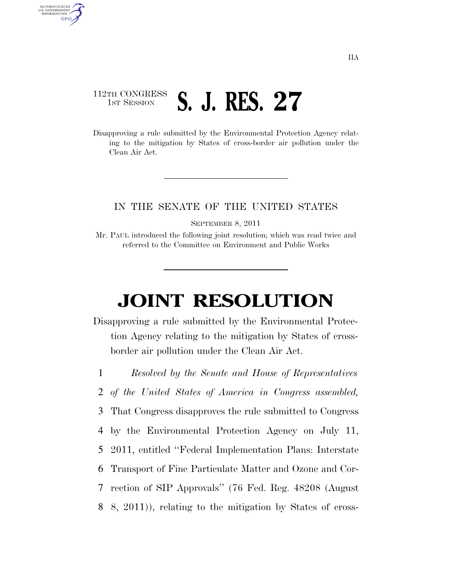## 112TH CONGRESS <sup>TH CONGRESS</sup> **S. J. RES. 27**

AUTHENTICATED<br>U.S. GOVERNMENT<br>INFORMATION **GPO** 

> Disapproving a rule submitted by the Environmental Protection Agency relating to the mitigation by States of cross-border air pollution under the Clean Air Act.

## IN THE SENATE OF THE UNITED STATES

SEPTEMBER 8, 2011

Mr. PAUL introduced the following joint resolution; which was read twice and referred to the Committee on Environment and Public Works

## **JOINT RESOLUTION**

Disapproving a rule submitted by the Environmental Protection Agency relating to the mitigation by States of crossborder air pollution under the Clean Air Act.

1 *Resolved by the Senate and House of Representatives*

2 *of the United States of America in Congress assembled,* 

3 That Congress disapproves the rule submitted to Congress

4 by the Environmental Protection Agency on July 11,

- 5 2011, entitled ''Federal Implementation Plans: Interstate
- 6 Transport of Fine Particulate Matter and Ozone and Cor-
- 7 rection of SIP Approvals'' (76 Fed. Reg. 48208 (August
- 8 8, 2011)), relating to the mitigation by States of cross-